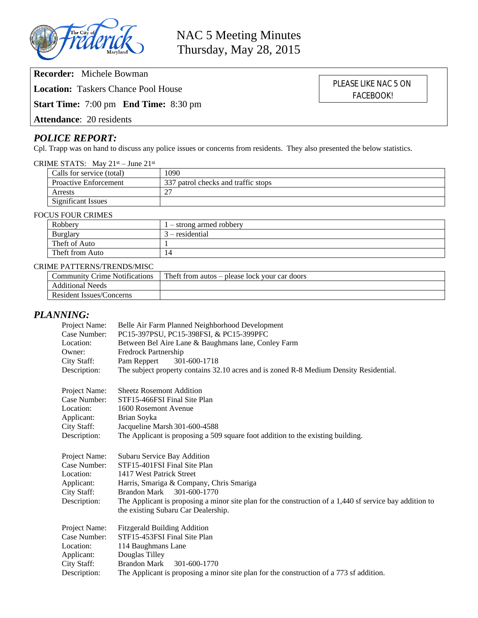

**Recorder:** Michele Bowman

**Location:** Taskers Chance Pool House

**Start Time:** 7:00 pm **End Time:** 8:30 pm

**Attendance**: 20 residents

# *POLICE REPORT:*

Cpl. Trapp was on hand to discuss any police issues or concerns from residents. They also presented the below statistics.

|  | CRIME STATS: May $21^{st}$ – June $21^{st}$ |
|--|---------------------------------------------|
|--|---------------------------------------------|

| Calls for service (total)    | 1090                                |
|------------------------------|-------------------------------------|
| <b>Proactive Enforcement</b> | 337 patrol checks and traffic stops |
| Arrests                      |                                     |
| <b>Significant Issues</b>    |                                     |

#### FOCUS FOUR CRIMES

| Robbery         | $1 -$ strong armed robbery |  |
|-----------------|----------------------------|--|
| <b>Burglary</b> | $3$ – residential          |  |
| Theft of Auto   |                            |  |
| Theft from Auto | 14                         |  |
|                 |                            |  |

#### CRIME PATTERNS/TRENDS/MISC

| <b>Community Crime Notifications</b> | $\pm$ Theft from autos – please lock your car doors |
|--------------------------------------|-----------------------------------------------------|
| <b>Additional Needs</b>              |                                                     |
| Resident Issues/Concerns             |                                                     |

## *PLANNING:*

| Project Name: | Belle Air Farm Planned Neighborhood Development                                                         |  |  |
|---------------|---------------------------------------------------------------------------------------------------------|--|--|
| Case Number:  | PC15-397PSU, PC15-398FSI, & PC15-399PFC                                                                 |  |  |
| Location:     | Between Bel Aire Lane & Baughmans lane, Conley Farm                                                     |  |  |
| Owner:        | Fredrock Partnership                                                                                    |  |  |
| City Staff:   | Pam Reppert<br>301-600-1718                                                                             |  |  |
| Description:  | The subject property contains 32.10 acres and is zoned R-8 Medium Density Residential.                  |  |  |
| Project Name: | <b>Sheetz Rosemont Addition</b>                                                                         |  |  |
| Case Number:  | STF15-466FSI Final Site Plan                                                                            |  |  |
| Location:     | 1600 Rosemont Avenue                                                                                    |  |  |
| Applicant:    | Brian Soyka                                                                                             |  |  |
| City Staff:   | Jacqueline Marsh 301-600-4588                                                                           |  |  |
| Description:  | The Applicant is proposing a 509 square foot addition to the existing building.                         |  |  |
| Project Name: | Subaru Service Bay Addition                                                                             |  |  |
| Case Number:  | STF15-401FSI Final Site Plan                                                                            |  |  |
| Location:     | 1417 West Patrick Street                                                                                |  |  |
| Applicant:    | Harris, Smariga & Company, Chris Smariga                                                                |  |  |
| City Staff:   | 301-600-1770<br><b>Brandon Mark</b>                                                                     |  |  |
| Description:  | The Applicant is proposing a minor site plan for the construction of a 1,440 sf service bay addition to |  |  |
|               | the existing Subaru Car Dealership.                                                                     |  |  |
| Project Name: | <b>Fitzgerald Building Addition</b>                                                                     |  |  |
| Case Number:  | STF15-453FSI Final Site Plan                                                                            |  |  |
| Location:     | 114 Baughmans Lane                                                                                      |  |  |
| Applicant:    | Douglas Tilley                                                                                          |  |  |
| City Staff:   | <b>Brandon Mark</b><br>301-600-1770                                                                     |  |  |
| Description:  | The Applicant is proposing a minor site plan for the construction of a 773 sf addition.                 |  |  |

PLEASE LIKE NAC 5 ON FACEBOOK!